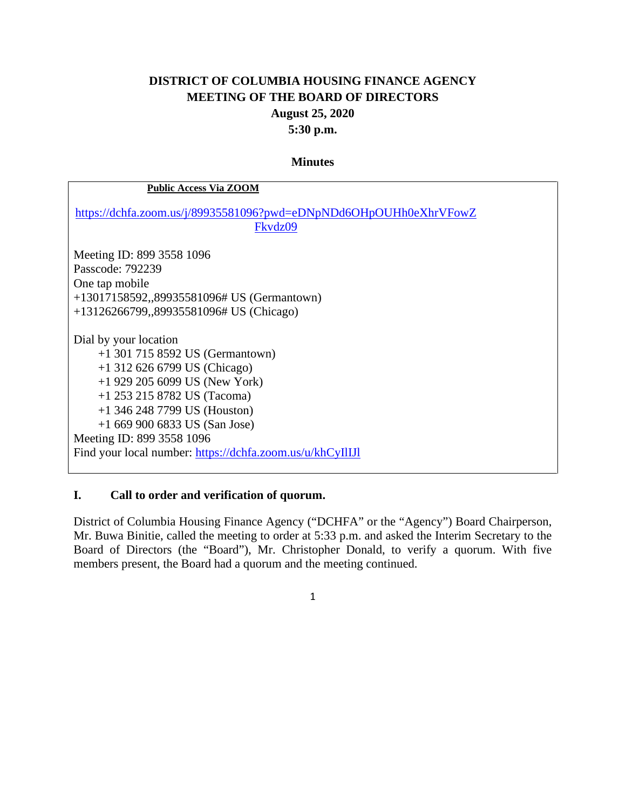# **DISTRICT OF COLUMBIA HOUSING FINANCE AGENCY MEETING OF THE BOARD OF DIRECTORS August 25, 2020 5:30 p.m.**

#### **Minutes**

| <b>Public Access Via ZOOM</b>                                                                                                                                                                                                                                                                                              |
|----------------------------------------------------------------------------------------------------------------------------------------------------------------------------------------------------------------------------------------------------------------------------------------------------------------------------|
| https://dchfa.zoom.us/j/89935581096?pwd=eDNpNDd6OHpOUHh0eXhrVFowZ<br>Fkvdz09                                                                                                                                                                                                                                               |
| Meeting ID: 899 3558 1096<br>Passcode: 792239<br>One tap mobile<br>$+13017158592, 89935581096$ # US (Germantown)<br>+13126266799,,89935581096# US (Chicago)                                                                                                                                                                |
| Dial by your location<br>$+1$ 301 715 8592 US (Germantown)<br>$+1$ 312 626 6799 US (Chicago)<br>$+1$ 929 205 6099 US (New York)<br>+1 253 215 8782 US (Tacoma)<br>$+1$ 346 248 7799 US (Houston)<br>$+16699006833$ US (San Jose)<br>Meeting ID: 899 3558 1096<br>Find your local number: https://dchfa.zoom.us/u/khCyIlIJI |

### **I. Call to order and verification of quorum.**

District of Columbia Housing Finance Agency ("DCHFA" or the "Agency") Board Chairperson, Mr. Buwa Binitie, called the meeting to order at 5:33 p.m. and asked the Interim Secretary to the Board of Directors (the "Board"), Mr. Christopher Donald, to verify a quorum. With five members present, the Board had a quorum and the meeting continued.

1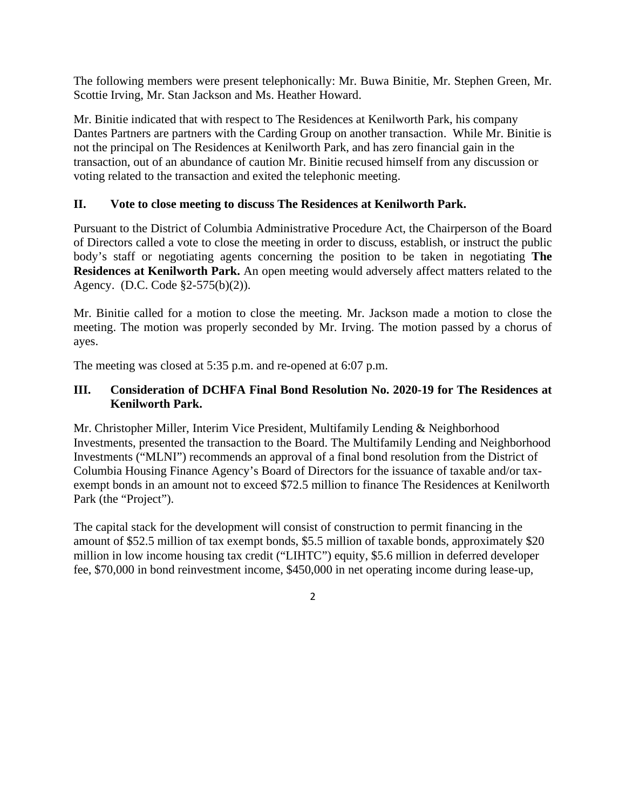The following members were present telephonically: Mr. Buwa Binitie, Mr. Stephen Green, Mr. Scottie Irving, Mr. Stan Jackson and Ms. Heather Howard.

Mr. Binitie indicated that with respect to The Residences at Kenilworth Park, his company Dantes Partners are partners with the Carding Group on another transaction. While Mr. Binitie is not the principal on The Residences at Kenilworth Park, and has zero financial gain in the transaction, out of an abundance of caution Mr. Binitie recused himself from any discussion or voting related to the transaction and exited the telephonic meeting.

#### **II. Vote to close meeting to discuss The Residences at Kenilworth Park.**

Pursuant to the District of Columbia Administrative Procedure Act, the Chairperson of the Board of Directors called a vote to close the meeting in order to discuss, establish, or instruct the public body's staff or negotiating agents concerning the position to be taken in negotiating **The Residences at Kenilworth Park.** An open meeting would adversely affect matters related to the Agency. (D.C. Code §2-575(b)(2)).

Mr. Binitie called for a motion to close the meeting. Mr. Jackson made a motion to close the meeting. The motion was properly seconded by Mr. Irving. The motion passed by a chorus of ayes.

The meeting was closed at 5:35 p.m. and re-opened at 6:07 p.m.

#### **III. Consideration of DCHFA Final Bond Resolution No. 2020-19 for The Residences at Kenilworth Park.**

Mr. Christopher Miller, Interim Vice President, Multifamily Lending & Neighborhood Investments, presented the transaction to the Board. The Multifamily Lending and Neighborhood Investments ("MLNI") recommends an approval of a final bond resolution from the District of Columbia Housing Finance Agency's Board of Directors for the issuance of taxable and/or taxexempt bonds in an amount not to exceed \$72.5 million to finance The Residences at Kenilworth Park (the "Project").

The capital stack for the development will consist of construction to permit financing in the amount of \$52.5 million of tax exempt bonds, \$5.5 million of taxable bonds, approximately \$20 million in low income housing tax credit ("LIHTC") equity, \$5.6 million in deferred developer fee, \$70,000 in bond reinvestment income, \$450,000 in net operating income during lease-up,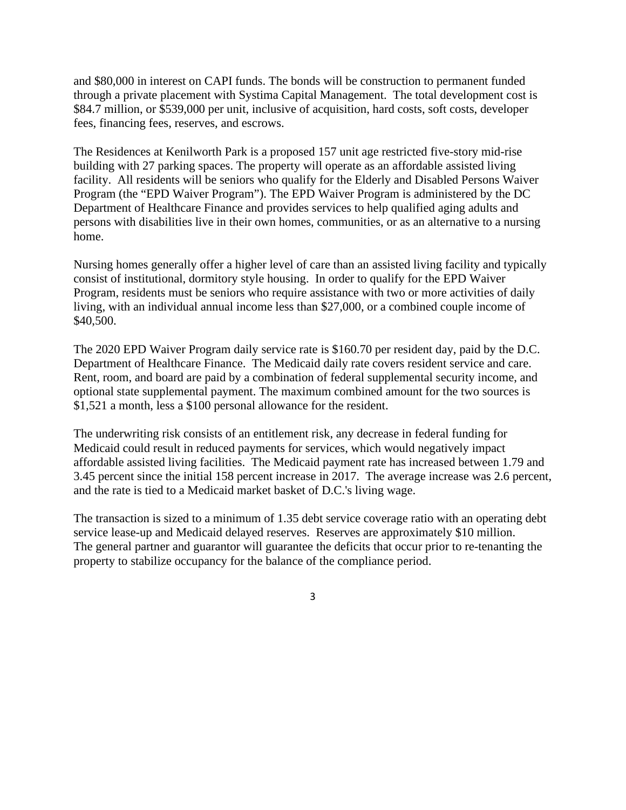and \$80,000 in interest on CAPI funds. The bonds will be construction to permanent funded through a private placement with Systima Capital Management. The total development cost is \$84.7 million, or \$539,000 per unit, inclusive of acquisition, hard costs, soft costs, developer fees, financing fees, reserves, and escrows.

The Residences at Kenilworth Park is a proposed 157 unit age restricted five-story mid-rise building with 27 parking spaces. The property will operate as an affordable assisted living facility. All residents will be seniors who qualify for the Elderly and Disabled Persons Waiver Program (the "EPD Waiver Program"). The EPD Waiver Program is administered by the DC Department of Healthcare Finance and provides services to help qualified aging adults and persons with disabilities live in their own homes, communities, or as an alternative to a nursing home.

Nursing homes generally offer a higher level of care than an assisted living facility and typically consist of institutional, dormitory style housing. In order to qualify for the EPD Waiver Program, residents must be seniors who require assistance with two or more activities of daily living, with an individual annual income less than \$27,000, or a combined couple income of \$40,500.

The 2020 EPD Waiver Program daily service rate is \$160.70 per resident day, paid by the D.C. Department of Healthcare Finance. The Medicaid daily rate covers resident service and care. Rent, room, and board are paid by a combination of federal supplemental security income, and optional state supplemental payment. The maximum combined amount for the two sources is \$1,521 a month, less a \$100 personal allowance for the resident.

The underwriting risk consists of an entitlement risk, any decrease in federal funding for Medicaid could result in reduced payments for services, which would negatively impact affordable assisted living facilities. The Medicaid payment rate has increased between 1.79 and 3.45 percent since the initial 158 percent increase in 2017. The average increase was 2.6 percent, and the rate is tied to a Medicaid market basket of D.C.'s living wage.

The transaction is sized to a minimum of 1.35 debt service coverage ratio with an operating debt service lease-up and Medicaid delayed reserves. Reserves are approximately \$10 million. The general partner and guarantor will guarantee the deficits that occur prior to re-tenanting the property to stabilize occupancy for the balance of the compliance period.

3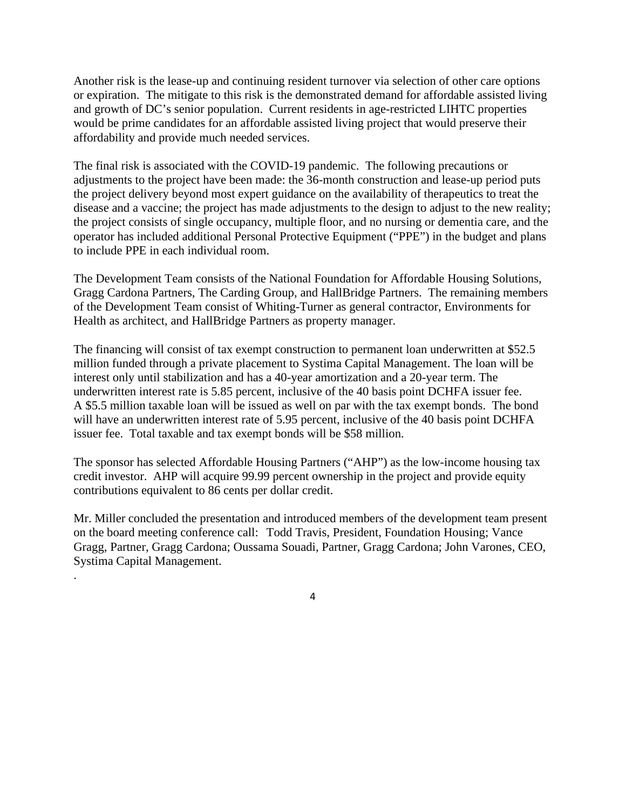Another risk is the lease-up and continuing resident turnover via selection of other care options or expiration. The mitigate to this risk is the demonstrated demand for affordable assisted living and growth of DC's senior population. Current residents in age-restricted LIHTC properties would be prime candidates for an affordable assisted living project that would preserve their affordability and provide much needed services.

The final risk is associated with the COVID-19 pandemic. The following precautions or adjustments to the project have been made: the 36-month construction and lease-up period puts the project delivery beyond most expert guidance on the availability of therapeutics to treat the disease and a vaccine; the project has made adjustments to the design to adjust to the new reality; the project consists of single occupancy, multiple floor, and no nursing or dementia care, and the operator has included additional Personal Protective Equipment ("PPE") in the budget and plans to include PPE in each individual room.

The Development Team consists of the National Foundation for Affordable Housing Solutions, Gragg Cardona Partners, The Carding Group, and HallBridge Partners. The remaining members of the Development Team consist of Whiting-Turner as general contractor, Environments for Health as architect, and HallBridge Partners as property manager.

The financing will consist of tax exempt construction to permanent loan underwritten at \$52.5 million funded through a private placement to Systima Capital Management. The loan will be interest only until stabilization and has a 40-year amortization and a 20-year term. The underwritten interest rate is 5.85 percent, inclusive of the 40 basis point DCHFA issuer fee. A \$5.5 million taxable loan will be issued as well on par with the tax exempt bonds. The bond will have an underwritten interest rate of 5.95 percent, inclusive of the 40 basis point DCHFA issuer fee. Total taxable and tax exempt bonds will be \$58 million.

The sponsor has selected Affordable Housing Partners ("AHP") as the low-income housing tax credit investor. AHP will acquire 99.99 percent ownership in the project and provide equity contributions equivalent to 86 cents per dollar credit.

Mr. Miller concluded the presentation and introduced members of the development team present on the board meeting conference call: Todd Travis, President, Foundation Housing; Vance Gragg, Partner, Gragg Cardona; Oussama Souadi, Partner, Gragg Cardona; John Varones, CEO, Systima Capital Management.

4

.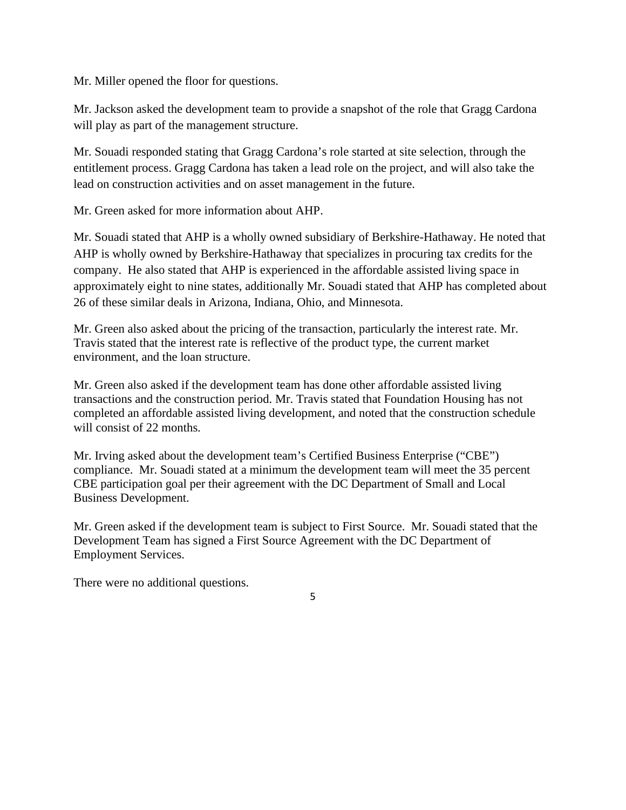Mr. Miller opened the floor for questions.

Mr. Jackson asked the development team to provide a snapshot of the role that Gragg Cardona will play as part of the management structure.

Mr. Souadi responded stating that Gragg Cardona's role started at site selection, through the entitlement process. Gragg Cardona has taken a lead role on the project, and will also take the lead on construction activities and on asset management in the future.

Mr. Green asked for more information about AHP.

Mr. Souadi stated that AHP is a wholly owned subsidiary of Berkshire-Hathaway. He noted that AHP is wholly owned by Berkshire-Hathaway that specializes in procuring tax credits for the company. He also stated that AHP is experienced in the affordable assisted living space in approximately eight to nine states, additionally Mr. Souadi stated that AHP has completed about 26 of these similar deals in Arizona, Indiana, Ohio, and Minnesota.

Mr. Green also asked about the pricing of the transaction, particularly the interest rate. Mr. Travis stated that the interest rate is reflective of the product type, the current market environment, and the loan structure.

Mr. Green also asked if the development team has done other affordable assisted living transactions and the construction period. Mr. Travis stated that Foundation Housing has not completed an affordable assisted living development, and noted that the construction schedule will consist of 22 months.

Mr. Irving asked about the development team's Certified Business Enterprise ("CBE") compliance. Mr. Souadi stated at a minimum the development team will meet the 35 percent CBE participation goal per their agreement with the DC Department of Small and Local Business Development.

Mr. Green asked if the development team is subject to First Source. Mr. Souadi stated that the Development Team has signed a First Source Agreement with the DC Department of Employment Services.

There were no additional questions.